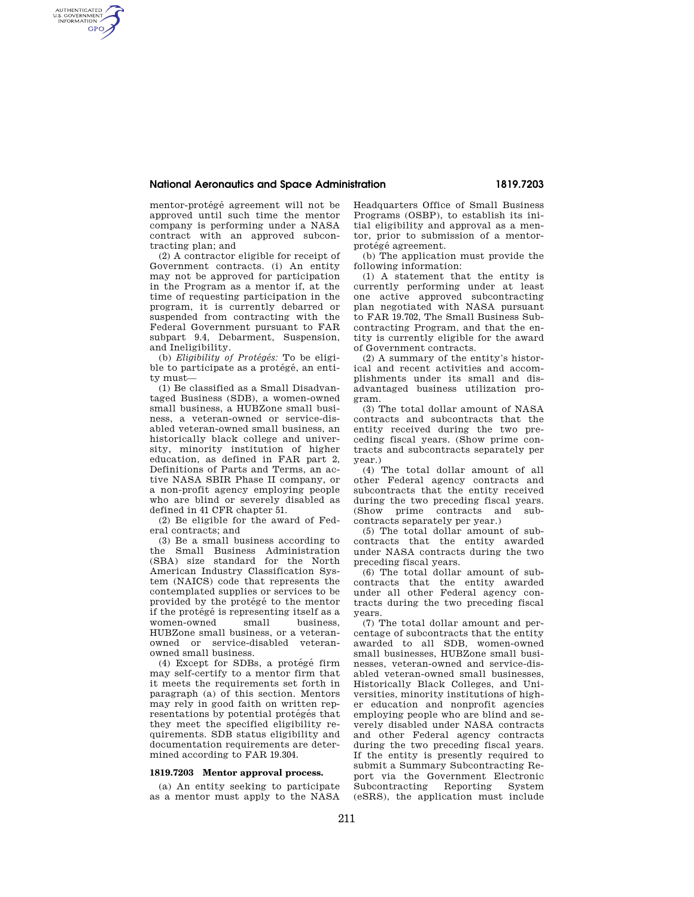## **National Aeronautics and Space Administration 1819.7203**

mentor-protégé agreement will not be approved until such time the mentor company is performing under a NASA contract with an approved subcontracting plan; and

AUTHENTICATED<br>U.S. GOVERNMENT<br>INFORMATION **GPO** 

> (2) A contractor eligible for receipt of Government contracts. (i) An entity may not be approved for participation in the Program as a mentor if, at the time of requesting participation in the program, it is currently debarred or suspended from contracting with the Federal Government pursuant to FAR subpart 9.4, Debarment, Suspension, and Ineligibility.

> (b) *Eligibility of Protégés:* To be eligible to participate as a protégé, an entity must—

> (1) Be classified as a Small Disadvantaged Business (SDB), a women-owned small business, a HUBZone small business, a veteran-owned or service-disabled veteran-owned small business, an historically black college and university, minority institution of higher education, as defined in FAR part 2, Definitions of Parts and Terms, an active NASA SBIR Phase II company, or a non-profit agency employing people who are blind or severely disabled as defined in 41 CFR chapter 51.

(2) Be eligible for the award of Federal contracts; and

(3) Be a small business according to the Small Business Administration (SBA) size standard for the North American Industry Classification System (NAICS) code that represents the contemplated supplies or services to be provided by the protégé to the mentor if the protégé is representing itself as a<br>women-owned small business.  $w$ omen-owned HUBZone small business, or a veteranowned or service-disabled veteranowned small business.

 $(4)$  Except for SDBs, a protégé firm may self-certify to a mentor firm that it meets the requirements set forth in paragraph (a) of this section. Mentors may rely in good faith on written representations by potential protégés that they meet the specified eligibility requirements. SDB status eligibility and documentation requirements are determined according to FAR 19.304.

## **1819.7203 Mentor approval process.**

(a) An entity seeking to participate as a mentor must apply to the NASA Headquarters Office of Small Business Programs (OSBP), to establish its initial eligibility and approval as a mentor, prior to submission of a mentorprotégé agreement.

(b) The application must provide the following information:

(1) A statement that the entity is currently performing under at least one active approved subcontracting plan negotiated with NASA pursuant to FAR 19.702, The Small Business Subcontracting Program, and that the entity is currently eligible for the award of Government contracts.

(2) A summary of the entity's historical and recent activities and accomplishments under its small and disadvantaged business utilization program.

(3) The total dollar amount of NASA contracts and subcontracts that the entity received during the two preceding fiscal years. (Show prime contracts and subcontracts separately per year.)

(4) The total dollar amount of all other Federal agency contracts and subcontracts that the entity received during the two preceding fiscal years. (Show prime contracts and subcontracts separately per year.)

(5) The total dollar amount of subcontracts that the entity awarded under NASA contracts during the two preceding fiscal years.

(6) The total dollar amount of subcontracts that the entity awarded under all other Federal agency contracts during the two preceding fiscal years.

(7) The total dollar amount and percentage of subcontracts that the entity awarded to all SDB, women-owned small businesses, HUBZone small businesses, veteran-owned and service-disabled veteran-owned small businesses, Historically Black Colleges, and Universities, minority institutions of higher education and nonprofit agencies employing people who are blind and severely disabled under NASA contracts and other Federal agency contracts during the two preceding fiscal years. If the entity is presently required to submit a Summary Subcontracting Report via the Government Electronic Subcontracting Reporting System (eSRS), the application must include